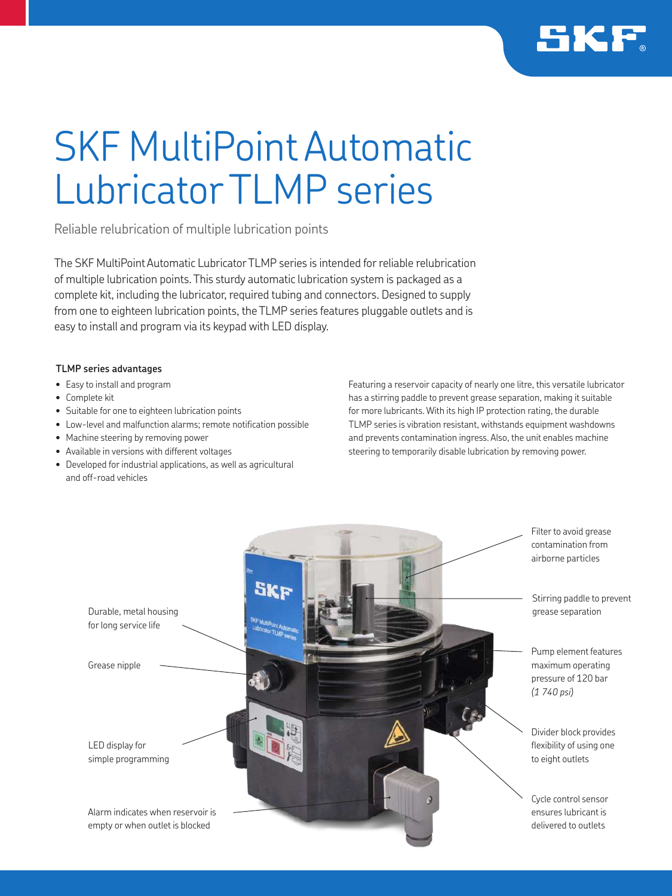

# SKF MultiPoint Automatic Lubricator TLMP series

Reliable relubrication of multiple lubrication points

The SKF MultiPoint Automatic Lubricator TLMP series is intended for reliable relubrication of multiple lubrication points. This sturdy automatic lubrication system is packaged as a complete kit, including the lubricator, required tubing and connectors. Designed to supply from one to eighteen lubrication points, the TLMP series features pluggable outlets and is easy to install and program via its keypad with LED display.

## **TLMP series advantages**

- Easy to install and program
- Complete kit
- Suitable for one to eighteen lubrication points
- Low-level and malfunction alarms; remote notification possible
- Machine steering by removing power
- Available in versions with different voltages
- Developed for industrial applications, as well as agricultural and off-road vehicles

Featuring a reservoir capacity of nearly one litre, this versatile lubricator has a stirring paddle to prevent grease separation, making it suitable for more lubricants. With its high IP protection rating, the durable TLMP series is vibration resistant, withstands equipment washdowns and prevents contamination ingress. Also, the unit enables machine steering to temporarily disable lubrication by removing power.

to eight outlets Durable, metal housing for long service life LED display for simple programming Alarm indicates when reservoir is empty or when outlet is blocked *(1 740 psi)* Grease nipple

Filter to avoid grease contamination from airborne particles

Stirring paddle to prevent grease separation

Pump element features maximum operating pressure of 120 bar

Divider block provides flexibility of using one

Cycle control sensor ensures lubricant is delivered to outlets